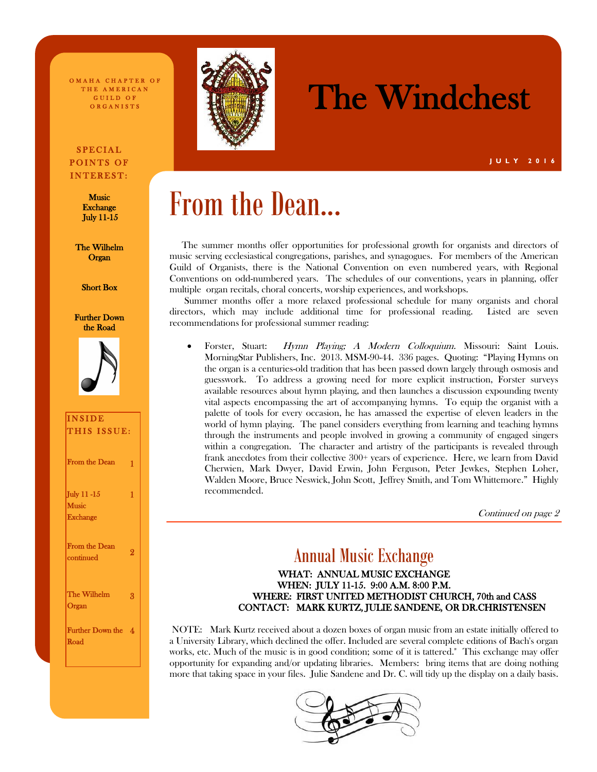O MAHA CHAPTER OF THE AMERICAN GUILD OF O R G A N I S T S

#### **SPECIAL** POINTS OF INTEREST:

**Music** Exchange July 11-15

The Wilhelm **Organ** 

Short Box

Further Down the Road



### INSIDE THIS ISSUE: From the Dean 1 July 11 -15 **Music Exchange** 1 From the Dean continued 2 The Wilhelm Organ 3 Further Down the 4 Road



# The Windchest

# From the Dean...

 The summer months offer opportunities for professional growth for organists and directors of music serving ecclesiastical congregations, parishes, and synagogues. For members of the American Guild of Organists, there is the National Convention on even numbered years, with Regional Conventions on odd-numbered years. The schedules of our conventions, years in planning, offer multiple organ recitals, choral concerts, worship experiences, and workshops.

 Summer months offer a more relaxed professional schedule for many organists and choral directors, which may include additional time for professional reading. Listed are seven recommendations for professional summer reading:

 Forster, Stuart: Hymn Playing; A Modern Colloquium. Missouri: Saint Louis. MorningStar Publishers, Inc. 2013. MSM-90-44. 336 pages. Quoting: "Playing Hymns on the organ is a centuries-old tradition that has been passed down largely through osmosis and guesswork. To address a growing need for more explicit instruction, Forster surveys available resources about hymn playing, and then launches a discussion expounding twenty vital aspects encompassing the art of accompanying hymns. To equip the organist with a palette of tools for every occasion, he has amassed the expertise of eleven leaders in the world of hymn playing. The panel considers everything from learning and teaching hymns through the instruments and people involved in growing a community of engaged singers within a congregation. The character and artistry of the participants is revealed through frank anecdotes from their collective  $300+$  years of experience. Here, we learn from David Cherwien, Mark Dwyer, David Erwin, John Ferguson, Peter Jewkes, Stephen Loher, Walden Moore, Bruce Neswick, John Scott, Jeffrey Smith, and Tom Whittemore." Highly recommended.

Continued on page 2

### Annual Music Exchange

#### WHAT: ANNUAL MUSIC EXCHANGE WHEN: JULY 11-15. 9:00 A.M. 8:00 P.M. WHERE: FIRST UNITED METHODIST CHURCH, 70th and CASS CONTACT: MARK KURTZ, JULIE SANDENE, OR DR.CHRISTENSEN

NOTE: Mark Kurtz received about a dozen boxes of organ music from an estate initially offered to a University Library, which declined the offer. Included are several complete editions of Bach's organ works, etc. Much of the music is in good condition; some of it is tattered." This exchange may offer opportunity for expanding and/or updating libraries. Members: bring items that are doing nothing more that taking space in your files. Julie Sandene and Dr. C. will tidy up the display on a daily basis.

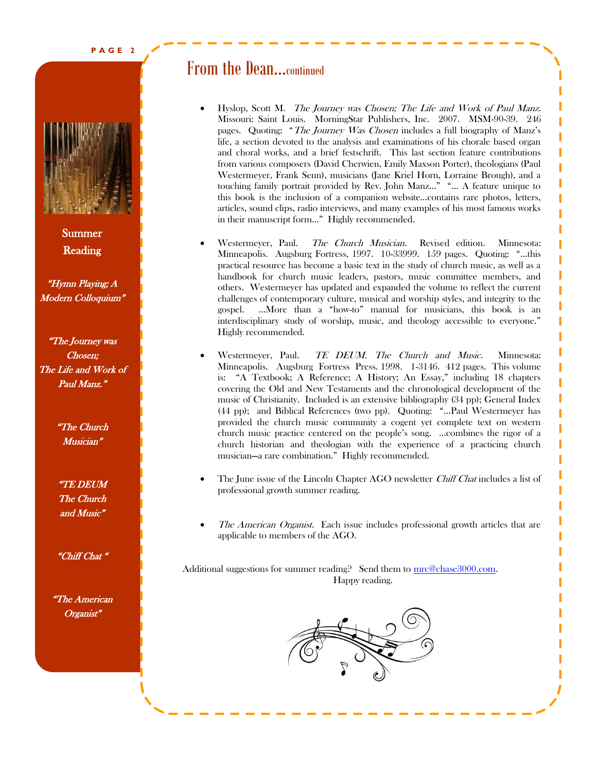

Summer Reading

"Hymn Playing; A Modern Colloquium"

"The Journey was Chosen; The Life and Work of Paul Manz."

> "The Church Musician"

> "TE DEUM The Church and Music"

> "Chiff Chat "

"The American Organist<sup>®</sup>

### From the Dean...continued

- Hyslop, Scott M. The Journey was Chosen; The Life and Work of Paul Manz. Missouri: Saint Louis. MorningStar Publishers, Inc. 2007. MSM-90-39. 246 pages. Quoting: "The Journey Was Chosen includes a full biography of Manz's life, a section devoted to the analysis and examinations of his chorale based organ and choral works, and a brief festschrift. This last section feature contributions from various composers (David Cherwien, Emily Maxson Porter), theologians (Paul Westermeyer, Frank Senn), musicians (Jane Kriel Horn, Lorraine Brough), and a touching family portrait provided by Rev. John Manz..." "… A feature unique to this book is the inclusion of a companion website…contains rare photos, letters, articles, sound clips, radio interviews, and many examples of his most famous works in their manuscript form…" Highly recommended.
- Westermeyer, Paul. The Church Musician. Revised edition. Minnesota: Minneapolis. Augsburg Fortress, 1997. 10-33999. 159 pages. Quoting: "…this practical resource has become a basic text in the study of church music, as well as a handbook for church music leaders, pastors, music committee members, and others. Westermeyer has updated and expanded the volume to reflect the current challenges of contemporary culture, musical and worship styles, and integrity to the gospel. …More than a "how-to" manual for musicians, this book is an interdisciplinary study of worship, music, and theology accessible to everyone." Highly recommended.
- Westermeyer, Paul. TE DEUM. The Church and Music. Minnesota: Minneapolis. Augsburg Fortress Press. 1998. 1-3146. 412 pages. This volume is: "A Textbook; A Reference; A History; An Essay," including 18 chapters covering the Old and New Testaments and the chronological development of the music of Christianity. Included is an extensive bibliography (34 pp); General Index (44 pp); and Biblical References (two pp). Quoting: "…Paul Westermeyer has provided the church music community a cogent yet complete text on western church music practice centered on the people's song. …combines the rigor of a church historian and theologian with the experience of a practicing church musician—a rare combination." Highly recommended.
- The June issue of the Lincoln Chapter AGO newsletter *Chiff Chat* includes a list of professional growth summer reading.
- The American Organist. Each issue includes professional growth articles that are applicable to members of the AGO.

Additional suggestions for summer reading? Send them to mrc@chase3000.com. Happy reading.

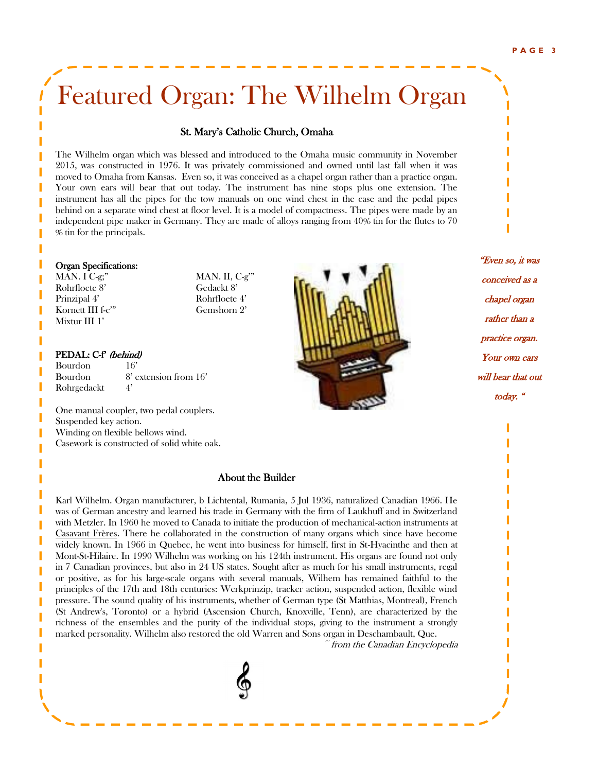# Featured Organ: The Wilhelm Organ

#### St. Mary's Catholic Church, Omaha

The Wilhelm organ which was blessed and introduced to the Omaha music community in November 2015, was constructed in 1976. It was privately commissioned and owned until last fall when it was moved to Omaha from Kansas. Even so, it was conceived as a chapel organ rather than a practice organ. Your own ears will bear that out today. The instrument has nine stops plus one extension. The instrument has all the pipes for the tow manuals on one wind chest in the case and the pedal pipes behind on a separate wind chest at floor level. It is a model of compactness. The pipes were made by an independent pipe maker in Germany. They are made of alloys ranging from 40% tin for the flutes to 70 % tin for the principals.

#### Organ Specifications:

MAN. I C-g;" MAN. II, C-g'" Rohrfloete 8' Gedackt 8' Prinzipal 4' Rohrfloete 4' Kornett III f-c'" Gemshorn 2' Mixtur III 1'

#### PEDAL: C-f' (behind)

Bourdon 16' Bourdon 8' extension from 16' Rohrgedackt 4'

One manual coupler, two pedal couplers. Suspended key action. Winding on flexible bellows wind. Casework is constructed of solid white oak.

#### About the Builder

Karl Wilhelm. Organ manufacturer, b Lichtental, Rumania, 5 Jul 1936, naturalized Canadian 1966. He was of German ancestry and learned his trade in Germany with the firm of Laukhuff and in Switzerland with Metzler. In 1960 he moved to Canada to initiate the production of mechanical-action instruments at [Casavant Frères.](http://www.thecanadianencyclopedia.ca/article/casavant-freres-emc/) There he collaborated in the construction of many organs which since have become widely known. In 1966 in Quebec, he went into business for himself, first in St-Hyacinthe and then at Mont-St-Hilaire. In 1990 Wilhelm was working on his 124th instrument. His organs are found not only in 7 Canadian provinces, but also in 24 US states. Sought after as much for his small instruments, regal or positive, as for his large-scale organs with several manuals, Wilhem has remained faithful to the principles of the 17th and 18th centuries: Werkprinzip, tracker action, suspended action, flexible wind pressure. The sound quality of his instruments, whether of German type (St Matthias, Montreal), French (St Andrew's, Toronto) or a hybrid (Ascension Church, Knoxville, Tenn), are characterized by the richness of the ensembles and the purity of the individual stops, giving to the instrument a strongly marked personality. Wilhelm also restored the old [Warren and Sons](http://www.thecanadianencyclopedia.ca/article/samuel-russell-warren-emc/) organ in Deschambault, Que.

~ from the Canadian Encyclopedia



"Even so, it was conceived as a chapel organ rather than a practice organ. Your own ears will bear that out today. "